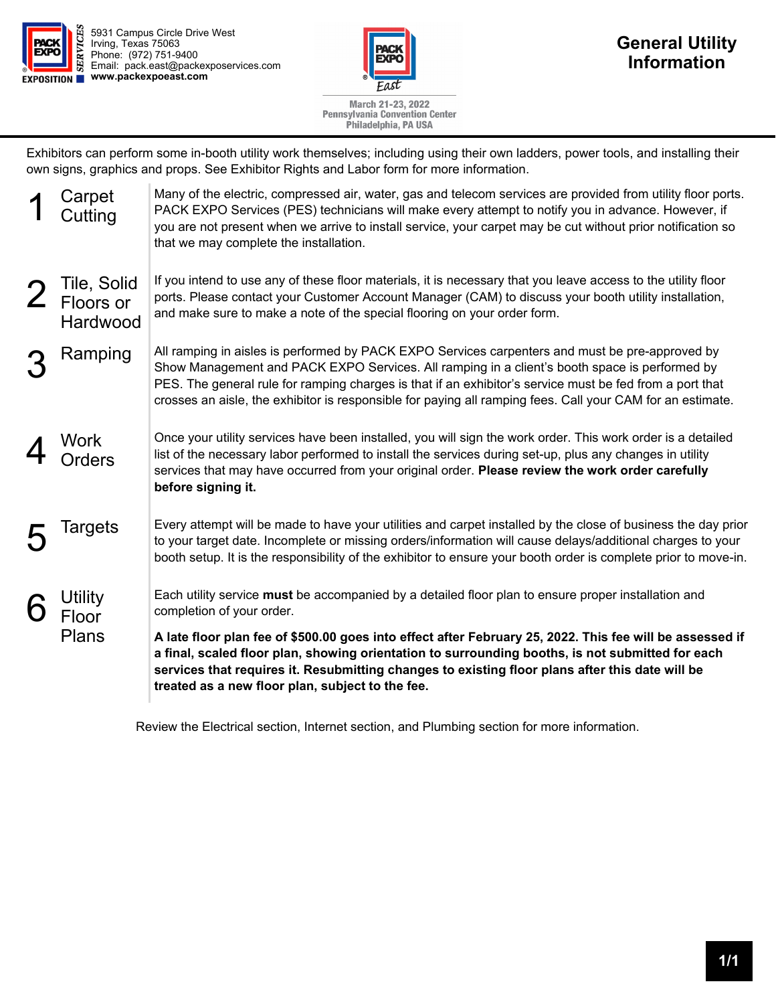

5931 Campus Circle Drive West Irving, Texas 75063 Phone: (972) 751-9400 Email: pack.east@packexposervices.com **EXPOSITION WWW.packexpoeast.com** 



March 21-23, 2022 **Pennsylvania Convention Center** Philadelphia, PA USA

Exhibitors can perform some in-booth utility work themselves; including using their own ladders, power tools, and installing their own signs, graphics and props. See Exhibitor Rights and Labor form for more information.

| you are not present when we arrive to install service, your carpet may be cut without prior notification so                                                                                                                                                                                                                                                                                                                |
|----------------------------------------------------------------------------------------------------------------------------------------------------------------------------------------------------------------------------------------------------------------------------------------------------------------------------------------------------------------------------------------------------------------------------|
| If you intend to use any of these floor materials, it is necessary that you leave access to the utility floor<br>ports. Please contact your Customer Account Manager (CAM) to discuss your booth utility installation,                                                                                                                                                                                                     |
| All ramping in aisles is performed by PACK EXPO Services carpenters and must be pre-approved by<br>Show Management and PACK EXPO Services. All ramping in a client's booth space is performed by<br>PES. The general rule for ramping charges is that if an exhibitor's service must be fed from a port that<br>crosses an aisle, the exhibitor is responsible for paying all ramping fees. Call your CAM for an estimate. |
| Once your utility services have been installed, you will sign the work order. This work order is a detailed<br>list of the necessary labor performed to install the services during set-up, plus any changes in utility<br>services that may have occurred from your original order. Please review the work order carefully                                                                                                |
| Every attempt will be made to have your utilities and carpet installed by the close of business the day prior<br>to your target date. Incomplete or missing orders/information will cause delays/additional charges to your<br>booth setup. It is the responsibility of the exhibitor to ensure your booth order is complete prior to move-in.                                                                             |
| Each utility service must be accompanied by a detailed floor plan to ensure proper installation and                                                                                                                                                                                                                                                                                                                        |
| A late floor plan fee of \$500.00 goes into effect after February 25, 2022. This fee will be assessed if<br>a final, scaled floor plan, showing orientation to surrounding booths, is not submitted for each<br>services that requires it. Resubmitting changes to existing floor plans after this date will be                                                                                                            |
|                                                                                                                                                                                                                                                                                                                                                                                                                            |

Review the Electrical section, Internet section, and Plumbing section for more information.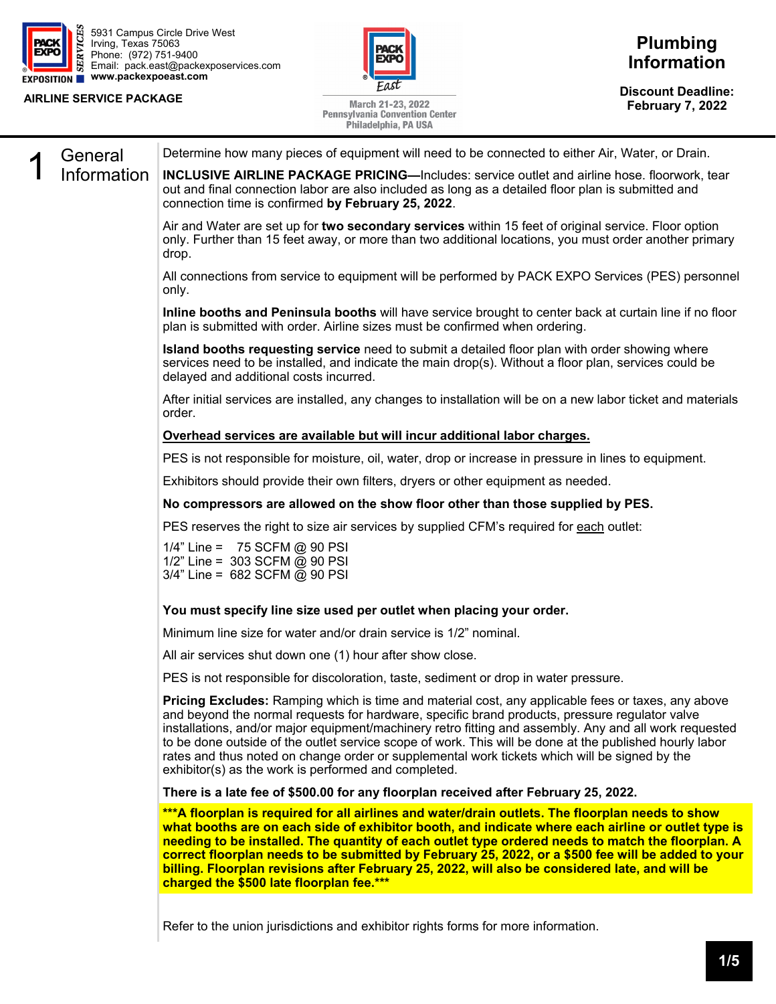

5931 Campus Circle Drive West Irving, Texas 75063 Phone: (972) 751-9400 Email: pack.east@packexposervices.com **www.packexpoeast.com** 

### **AIRLINE SERVICE PACKAGE**



March 21-23, 2022 **Pennsylvania Convention Center**  **Discount Deadline: February 7, 2022** 

|             | Philadelphia, PA USA                                                                                                                                                                                                                                                                                                                                                                                                                                                                                                                                                               |
|-------------|------------------------------------------------------------------------------------------------------------------------------------------------------------------------------------------------------------------------------------------------------------------------------------------------------------------------------------------------------------------------------------------------------------------------------------------------------------------------------------------------------------------------------------------------------------------------------------|
| General     | Determine how many pieces of equipment will need to be connected to either Air, Water, or Drain.                                                                                                                                                                                                                                                                                                                                                                                                                                                                                   |
| Information | <b>INCLUSIVE AIRLINE PACKAGE PRICING—Includes: service outlet and airline hose. floorwork, tear</b><br>out and final connection labor are also included as long as a detailed floor plan is submitted and<br>connection time is confirmed by February 25, 2022.                                                                                                                                                                                                                                                                                                                    |
|             | Air and Water are set up for two secondary services within 15 feet of original service. Floor option<br>only. Further than 15 feet away, or more than two additional locations, you must order another primary<br>drop.                                                                                                                                                                                                                                                                                                                                                            |
|             | All connections from service to equipment will be performed by PACK EXPO Services (PES) personnel<br>only.                                                                                                                                                                                                                                                                                                                                                                                                                                                                         |
|             | Inline booths and Peninsula booths will have service brought to center back at curtain line if no floor<br>plan is submitted with order. Airline sizes must be confirmed when ordering.                                                                                                                                                                                                                                                                                                                                                                                            |
|             | Island booths requesting service need to submit a detailed floor plan with order showing where<br>services need to be installed, and indicate the main drop(s). Without a floor plan, services could be<br>delayed and additional costs incurred.                                                                                                                                                                                                                                                                                                                                  |
|             | After initial services are installed, any changes to installation will be on a new labor ticket and materials<br>order.                                                                                                                                                                                                                                                                                                                                                                                                                                                            |
|             | Overhead services are available but will incur additional labor charges.                                                                                                                                                                                                                                                                                                                                                                                                                                                                                                           |
|             | PES is not responsible for moisture, oil, water, drop or increase in pressure in lines to equipment.                                                                                                                                                                                                                                                                                                                                                                                                                                                                               |
|             | Exhibitors should provide their own filters, dryers or other equipment as needed.                                                                                                                                                                                                                                                                                                                                                                                                                                                                                                  |
|             | No compressors are allowed on the show floor other than those supplied by PES.                                                                                                                                                                                                                                                                                                                                                                                                                                                                                                     |
|             | PES reserves the right to size air services by supplied CFM's required for each outlet:                                                                                                                                                                                                                                                                                                                                                                                                                                                                                            |
|             | 1/4" Line = 75 SCFM @ 90 PSI<br>1/2" Line = 303 SCFM @ 90 PSI<br>3/4" Line = 682 SCFM @ 90 PSI                                                                                                                                                                                                                                                                                                                                                                                                                                                                                     |
|             | You must specify line size used per outlet when placing your order.                                                                                                                                                                                                                                                                                                                                                                                                                                                                                                                |
|             | Minimum line size for water and/or drain service is 1/2" nominal.                                                                                                                                                                                                                                                                                                                                                                                                                                                                                                                  |
|             | All air services shut down one (1) hour after show close.                                                                                                                                                                                                                                                                                                                                                                                                                                                                                                                          |
|             | PES is not responsible for discoloration, taste, sediment or drop in water pressure.                                                                                                                                                                                                                                                                                                                                                                                                                                                                                               |
|             | Pricing Excludes: Ramping which is time and material cost, any applicable fees or taxes, any above<br>and beyond the normal requests for hardware, specific brand products, pressure regulator valve<br>installations, and/or major equipment/machinery retro fitting and assembly. Any and all work requested<br>to be done outside of the outlet service scope of work. This will be done at the published hourly labor<br>rates and thus noted on change order or supplemental work tickets which will be signed by the<br>exhibitor(s) as the work is performed and completed. |
|             | There is a late fee of \$500.00 for any floorplan received after February 25, 2022.                                                                                                                                                                                                                                                                                                                                                                                                                                                                                                |
|             | ***A floorplan is required for all airlines and water/drain outlets. The floorplan needs to show<br>what booths are on each side of exhibitor booth, and indicate where each airline or outlet type is<br>needing to be installed. The quantity of each outlet type ordered needs to match the floorplan. A<br>correct floorplan needs to be submitted by February 25, 2022, or a \$500 fee will be added to your<br>billing. Floorplan revisions after February 25, 2022, will also be considered late, and will be<br>charged the \$500 late floorplan fee.***                   |
|             |                                                                                                                                                                                                                                                                                                                                                                                                                                                                                                                                                                                    |

Refer to the union jurisdictions and exhibitor rights forms for more information.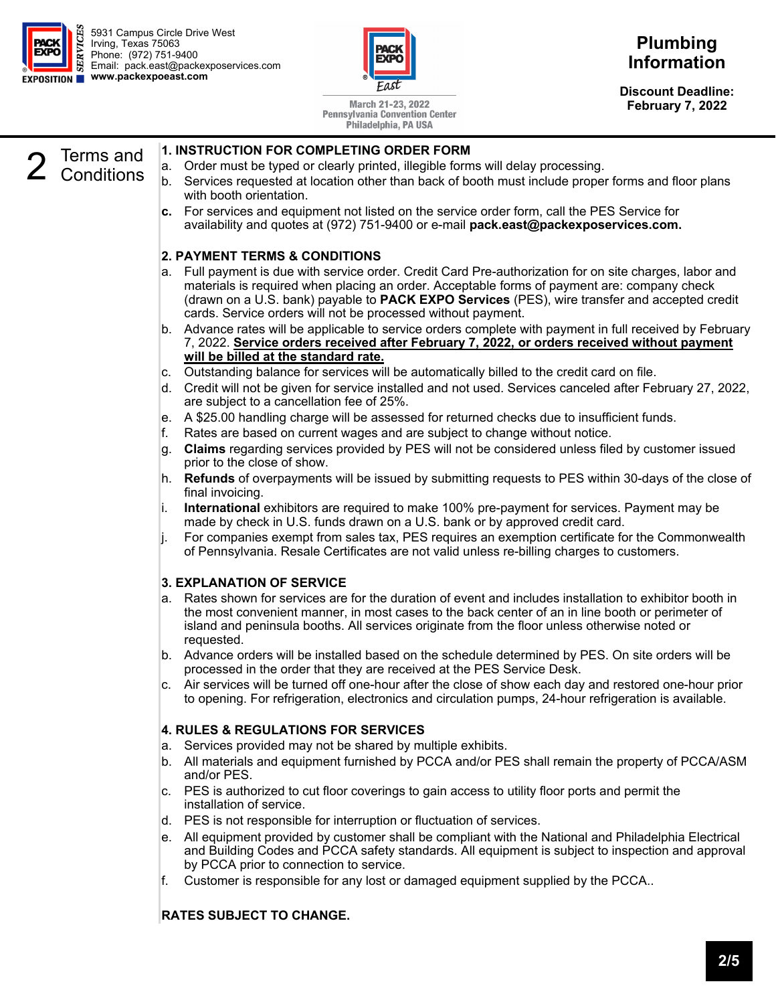



**Discount Deadline: February 7, 2022** 

March 21-23, 2022 **Pennsylvania Convention Center** Philadelphia, PA USA

#### 2 Terms and Conditions **1. INSTRUCTION FOR COMPLETING ORDER FORM**  a. Order must be typed or clearly printed, illegible forms will delay processing. b. Services requested at location other than back of booth must include proper forms and floor plans with booth orientation. **c.** For services and equipment not listed on the service order form, call the PES Service for availability and quotes at (972) 751-9400 or e-mail **pack.east@packexposervices.com.**

# **2. PAYMENT TERMS & CONDITIONS**

- a. Full payment is due with service order. Credit Card Pre-authorization for on site charges, labor and materials is required when placing an order. Acceptable forms of payment are: company check (drawn on a U.S. bank) payable to **PACK EXPO Services** (PES), wire transfer and accepted credit cards. Service orders will not be processed without payment.
- b. Advance rates will be applicable to service orders complete with payment in full received by February 7, 2022. **Service orders received after February 7, 2022, or orders received without payment will be billed at the standard rate.**
- c. Outstanding balance for services will be automatically billed to the credit card on file.
- d. Credit will not be given for service installed and not used. Services canceled after February 27, 2022, are subject to a cancellation fee of 25%.
- e. A \$25.00 handling charge will be assessed for returned checks due to insufficient funds.
- f. Rates are based on current wages and are subject to change without notice.
- g. **Claims** regarding services provided by PES will not be considered unless filed by customer issued prior to the close of show.
- h. **Refunds** of overpayments will be issued by submitting requests to PES within 30-days of the close of final invoicing.
- i. **International** exhibitors are required to make 100% pre-payment for services. Payment may be made by check in U.S. funds drawn on a U.S. bank or by approved credit card.
- j. For companies exempt from sales tax, PES requires an exemption certificate for the Commonwealth of Pennsylvania. Resale Certificates are not valid unless re-billing charges to customers.

# **3. EXPLANATION OF SERVICE**

- a. Rates shown for services are for the duration of event and includes installation to exhibitor booth in the most convenient manner, in most cases to the back center of an in line booth or perimeter of island and peninsula booths. All services originate from the floor unless otherwise noted or requested.
- b. Advance orders will be installed based on the schedule determined by PES. On site orders will be processed in the order that they are received at the PES Service Desk.
- c. Air services will be turned off one-hour after the close of show each day and restored one-hour prior to opening. For refrigeration, electronics and circulation pumps, 24-hour refrigeration is available.

# **4. RULES & REGULATIONS FOR SERVICES**

- a. Services provided may not be shared by multiple exhibits.
- b. All materials and equipment furnished by PCCA and/or PES shall remain the property of PCCA/ASM and/or PES.
- c. PES is authorized to cut floor coverings to gain access to utility floor ports and permit the installation of service.
- d. PES is not responsible for interruption or fluctuation of services.
- e. All equipment provided by customer shall be compliant with the National and Philadelphia Electrical and Building Codes and PCCA safety standards. All equipment is subject to inspection and approval by PCCA prior to connection to service.
- f. Customer is responsible for any lost or damaged equipment supplied by the PCCA..

# **RATES SUBJECT TO CHANGE.**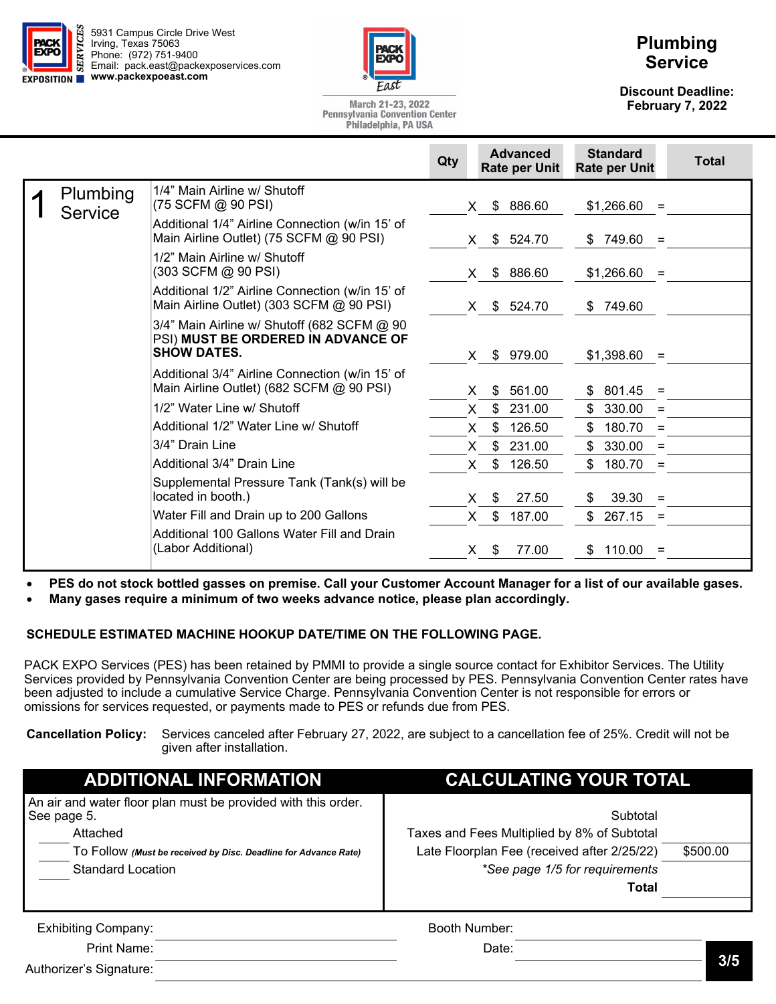



# **Plumbing Service**

**Discount Deadline: February 7, 2022** 

March 21-23, 2022 **Pennsylvania Convention Center** Philadelphia, PA USA

|                            |                                                                                                         | Qty | <b>Advanced</b><br><b>Rate per Unit</b> | <b>Standard</b><br><b>Rate per Unit</b> | <b>Total</b> |
|----------------------------|---------------------------------------------------------------------------------------------------------|-----|-----------------------------------------|-----------------------------------------|--------------|
| Plumbing<br><b>Service</b> | 1/4" Main Airline w/ Shutoff<br>(75 SCFM @ 90 PSI)                                                      |     | \$ 886.60<br>X.                         | $$1,266.60 =$                           |              |
|                            | Additional 1/4" Airline Connection (w/in 15' of<br>Main Airline Outlet) (75 SCFM @ 90 PSI)              |     | \$524.70<br>X.                          | \$749.60<br>$=$                         |              |
|                            | 1/2" Main Airline w/ Shutoff<br>(303 SCFM @ 90 PSI)                                                     |     | 886.60<br>\$<br>X.                      | \$1,266.60<br>$=$                       |              |
|                            | Additional 1/2" Airline Connection (w/in 15' of<br>Main Airline Outlet) (303 SCFM @ 90 PSI)             |     | X \$ 524.70                             | \$749.60                                |              |
|                            | 3/4" Main Airline w/ Shutoff (682 SCFM @ 90<br>PSI) MUST BE ORDERED IN ADVANCE OF<br><b>SHOW DATES.</b> |     | \$979.00<br>X.                          | \$1,398.60<br>$=$                       |              |
|                            | Additional 3/4" Airline Connection (w/in 15' of<br>Main Airline Outlet) (682 SCFM @ 90 PSI)             |     | \$<br>561.00<br>X.                      | \$801.45<br>$=$                         |              |
|                            | 1/2" Water Line w/ Shutoff                                                                              |     | \$<br>231.00<br>X.                      | \$330.00<br>$=$                         |              |
|                            | Additional 1/2" Water Line w/ Shutoff                                                                   |     | \$<br>126.50<br>X.                      | 180.70<br>\$<br>$=$                     |              |
|                            | 3/4" Drain Line                                                                                         |     | 231.00<br>\$<br>X.                      | 330.00<br>\$<br>$\qquad \qquad =$       |              |
|                            | Additional 3/4" Drain Line                                                                              |     | 126.50<br>\$.<br>X.                     | \$<br>180.70<br>$\equiv$                |              |
|                            | Supplemental Pressure Tank (Tank(s) will be<br>located in booth.)                                       |     | \$<br>27.50<br>X.                       | 39.30<br>\$<br>$=$                      |              |
|                            | Water Fill and Drain up to 200 Gallons                                                                  |     | \$<br>187.00<br>X.                      | \$<br>267.15<br>$=$                     |              |
|                            | Additional 100 Gallons Water Fill and Drain<br>(Labor Additional)                                       |     | 77.00<br>X.<br>S                        | \$110.00<br>$=$                         |              |

**PES do not stock bottled gasses on premise. Call your Customer Account Manager for a list of our available gases.** 

**Many gases require a minimum of two weeks advance notice, please plan accordingly.** 

#### **SCHEDULE ESTIMATED MACHINE HOOKUP DATE/TIME ON THE FOLLOWING PAGE.**

PACK EXPO Services (PES) has been retained by PMMI to provide a single source contact for Exhibitor Services. The Utility Services provided by Pennsylvania Convention Center are being processed by PES. Pennsylvania Convention Center rates have been adjusted to include a cumulative Service Charge. Pennsylvania Convention Center is not responsible for errors or omissions for services requested, or payments made to PES or refunds due from PES.

**Cancellation Policy:** Services canceled after February 27, 2022, are subject to a cancellation fee of 25%. Credit will not be given after installation.

| <b>ADDITIONAL INFORMATION</b>                                                                                                                                                           | <b>CALCULATING YOUR TOTAL</b>                                                                                                                                        |  |  |  |  |  |  |  |  |
|-----------------------------------------------------------------------------------------------------------------------------------------------------------------------------------------|----------------------------------------------------------------------------------------------------------------------------------------------------------------------|--|--|--|--|--|--|--|--|
| An air and water floor plan must be provided with this order.<br>See page 5.<br>Attached<br>To Follow (Must be received by Disc. Deadline for Advance Rate)<br><b>Standard Location</b> | Subtotal<br>Taxes and Fees Multiplied by 8% of Subtotal<br>Late Floorplan Fee (received after 2/25/22)<br>\$500.00<br>*See page 1/5 for requirements<br><b>Total</b> |  |  |  |  |  |  |  |  |
| <b>Exhibiting Company:</b>                                                                                                                                                              | Booth Number:                                                                                                                                                        |  |  |  |  |  |  |  |  |
| Print Name:                                                                                                                                                                             | Date:                                                                                                                                                                |  |  |  |  |  |  |  |  |

Authorizer's Signature: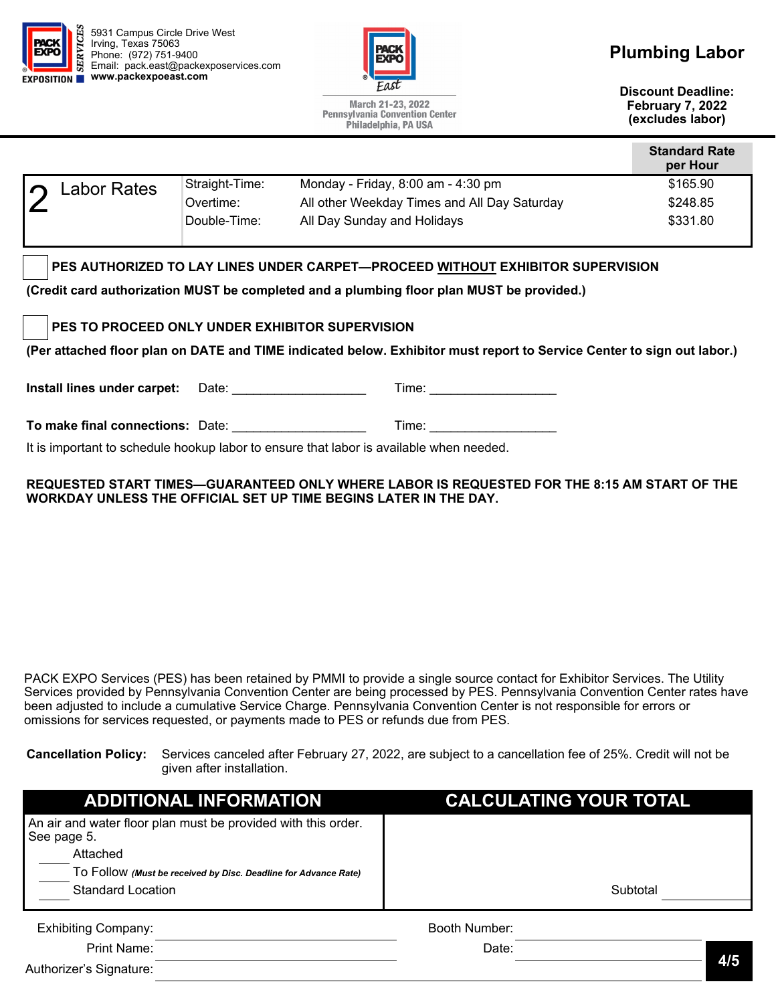

5931 Campus Circle Drive West Irving, Texas 75063 Phone: (972) 751-9400 Email: pack.east@packexposervices.com **EXPOSITION** WWW.packexpoeast.com



March 21-23, 2022 **Pennsylvania Convention Center** Philadelphia, PA USA

# **Plumbing Labor**

**Discount Deadline: February 7, 2022 (excludes labor)** 

| per Hour |
|----------|
| \$165.90 |
| \$248.85 |
| \$331.80 |
|          |

# **PES AUTHORIZED TO LAY LINES UNDER CARPET—PROCEED WITHOUT EXHIBITOR SUPERVISION**

**(Credit card authorization MUST be completed and a plumbing floor plan MUST be provided.)** 

**PES TO PROCEED ONLY UNDER EXHIBITOR SUPERVISION** 

**(Per attached floor plan on DATE and TIME indicated below. Exhibitor must report to Service Center to sign out labor.)** 

**Install lines under carpet:** Date: \_\_\_\_\_\_\_\_\_\_\_\_\_\_\_\_\_\_\_\_\_\_\_\_\_\_\_\_\_Time: \_\_\_\_\_\_\_\_\_\_\_\_\_\_\_\_

**To make final connections:** Date: **Letter and Structure Time: Time:**  $\blacksquare$ 

It is important to schedule hookup labor to ensure that labor is available when needed.

#### **REQUESTED START TIMES—GUARANTEED ONLY WHERE LABOR IS REQUESTED FOR THE 8:15 AM START OF THE WORKDAY UNLESS THE OFFICIAL SET UP TIME BEGINS LATER IN THE DAY.**

PACK EXPO Services (PES) has been retained by PMMI to provide a single source contact for Exhibitor Services. The Utility Services provided by Pennsylvania Convention Center are being processed by PES. Pennsylvania Convention Center rates have been adjusted to include a cumulative Service Charge. Pennsylvania Convention Center is not responsible for errors or omissions for services requested, or payments made to PES or refunds due from PES.

**Cancellation Policy:** Services canceled after February 27, 2022, are subject to a cancellation fee of 25%. Credit will not be given after installation.

| <b>ADDITIONAL INFORMATION</b>                                                            | <b>CALCULATING YOUR TOTAL</b> |          |     |
|------------------------------------------------------------------------------------------|-------------------------------|----------|-----|
| An air and water floor plan must be provided with this order.<br>See page 5.<br>Attached |                               |          |     |
| TO FOIIOW (Must be received by Disc. Deadline for Advance Rate)                          |                               |          |     |
| <b>Standard Location</b>                                                                 |                               | Subtotal |     |
|                                                                                          |                               |          |     |
| <b>Exhibiting Company:</b>                                                               | Booth Number:                 |          |     |
| Print Name:                                                                              | Date:                         |          |     |
| Authorizer's Signature:                                                                  |                               |          | 4/5 |